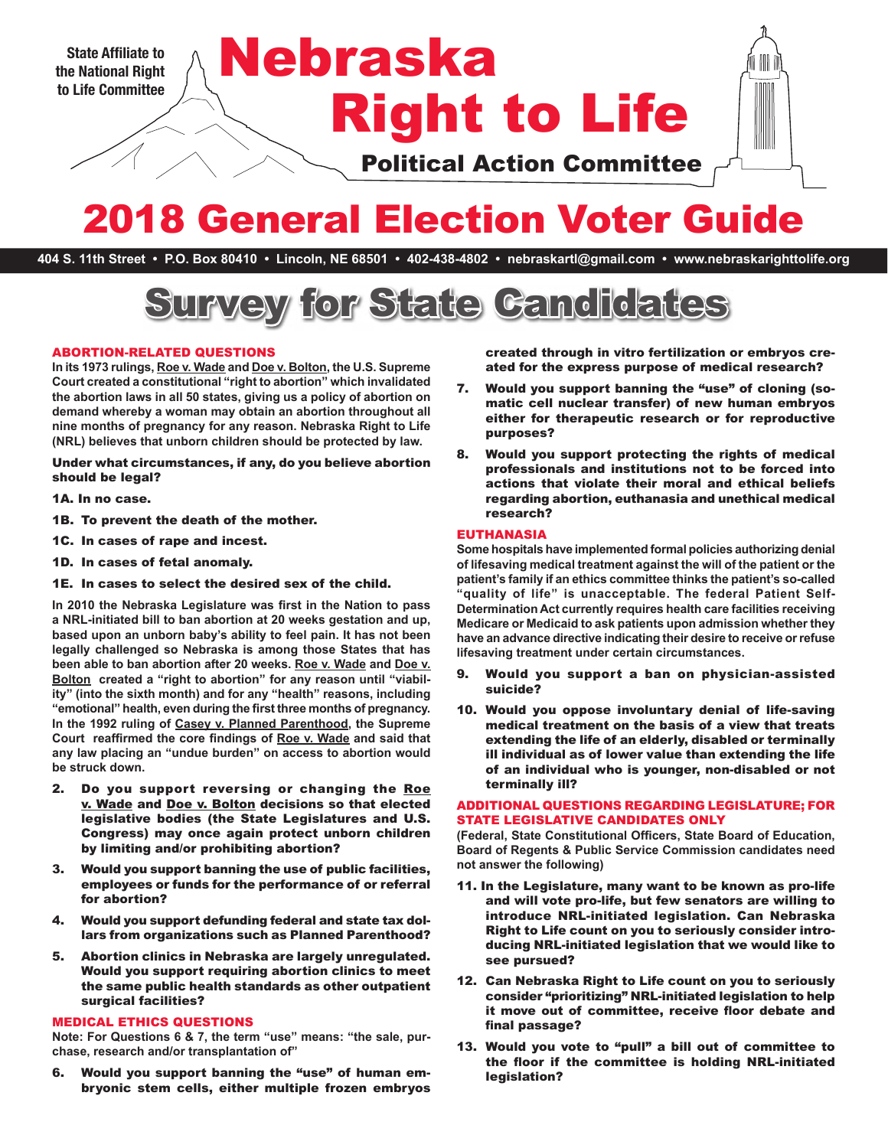

# 2018 General Election Voter Guide

**404 S. 11th Street • P.O. Box 80410 • Lincoln, NE 68501 • 402-438-4802 • nebraskartl@gmail.com • www.nebraskarighttolife.org**



### ABORTION-RELATED QUESTIONS

**In its 1973 rulings, Roe v. Wade and Doe v. Bolton, the U.S. Supreme Court created a constitutional "right to abortion" which invalidated the abortion laws in all 50 states, giving us a policy of abortion on demand whereby a woman may obtain an abortion throughout all nine months of pregnancy for any reason. Nebraska Right to Life (NRL) believes that unborn children should be protected by law.** 

Under what circumstances, if any, do you believe abortion should be legal?

- 1A. In no case.
- 1B. To prevent the death of the mother.
- 1C. In cases of rape and incest.
- 1D. In cases of fetal anomaly.

1E. In cases to select the desired sex of the child.

**In 2010 the Nebraska Legislature was first in the Nation to pass a NRL-initiated bill to ban abortion at 20 weeks gestation and up, based upon an unborn baby's ability to feel pain. It has not been legally challenged so Nebraska is among those States that has been able to ban abortion after 20 weeks. Roe v. Wade and Doe v.**  Bolton created a "right to abortion" for any reason until "viabil**ity" (into the sixth month) and for any "health" reasons, including "emotional" health, even during the first three months of pregnancy. In the 1992 ruling of Casey v. Planned Parenthood, the Supreme Court reaffirmed the core findings of Roe v. Wade and said that any law placing an "undue burden" on access to abortion would be struck down.**

- 2. Do you support reversing or changing the Roe v. Wade and Doe v. Bolton decisions so that elected legislative bodies (the State Legislatures and U.S. Congress) may once again protect unborn children by limiting and/or prohibiting abortion?
- 3. Would you support banning the use of public facilities, employees or funds for the performance of or referral for abortion?
- 4. Would you support defunding federal and state tax dollars from organizations such as Planned Parenthood?
- 5. Abortion clinics in Nebraska are largely unregulated. Would you support requiring abortion clinics to meet the same public health standards as other outpatient surgical facilities?

## MEDICAL ETHICS QUESTIONS

**Note: For Questions 6 & 7, the term "use" means: "the sale, purchase, research and/or transplantation of"**

6. Would you support banning the "use" of human embryonic stem cells, either multiple frozen embryos created through in vitro fertilization or embryos created for the express purpose of medical research?

- 7. Would you support banning the "use" of cloning (somatic cell nuclear transfer) of new human embryos either for therapeutic research or for reproductive purposes?
- 8. Would you support protecting the rights of medical professionals and institutions not to be forced into actions that violate their moral and ethical beliefs regarding abortion, euthanasia and unethical medical research?

#### EUTHANASIA

**Some hospitals have implemented formal policies authorizing denial of lifesaving medical treatment against the will of the patient or the patient's family if an ethics committee thinks the patient's so-called "quality of life" is unacceptable. The federal Patient Self-Determination Act currently requires health care facilities receiving Medicare or Medicaid to ask patients upon admission whether they have an advance directive indicating their desire to receive or refuse lifesaving treatment under certain circumstances.** 

- 9. Would you support a ban on physician-assisted suicide?
- 10. Would you oppose involuntary denial of life-saving medical treatment on the basis of a view that treats extending the life of an elderly, disabled or terminally ill individual as of lower value than extending the life of an individual who is younger, non-disabled or not terminally ill?

#### ADDITIONAL QUESTIONS REGARDING LEGISLATURE; FOR STATE LEGISLATIVE CANDIDATES ONLY

**(Federal, State Constitutional Officers, State Board of Education, Board of Regents & Public Service Commission candidates need not answer the following)**

- 11. In the Legislature, many want to be known as pro-life and will vote pro-life, but few senators are willing to introduce NRL-initiated legislation. Can Nebraska Right to Life count on you to seriously consider introducing NRL-initiated legislation that we would like to see pursued?
- 12. Can Nebraska Right to Life count on you to seriously consider "prioritizing" NRL-initiated legislation to help it move out of committee, receive floor debate and final passage?
- 13. Would you vote to "pull" a bill out of committee to the floor if the committee is holding NRL-initiated legislation?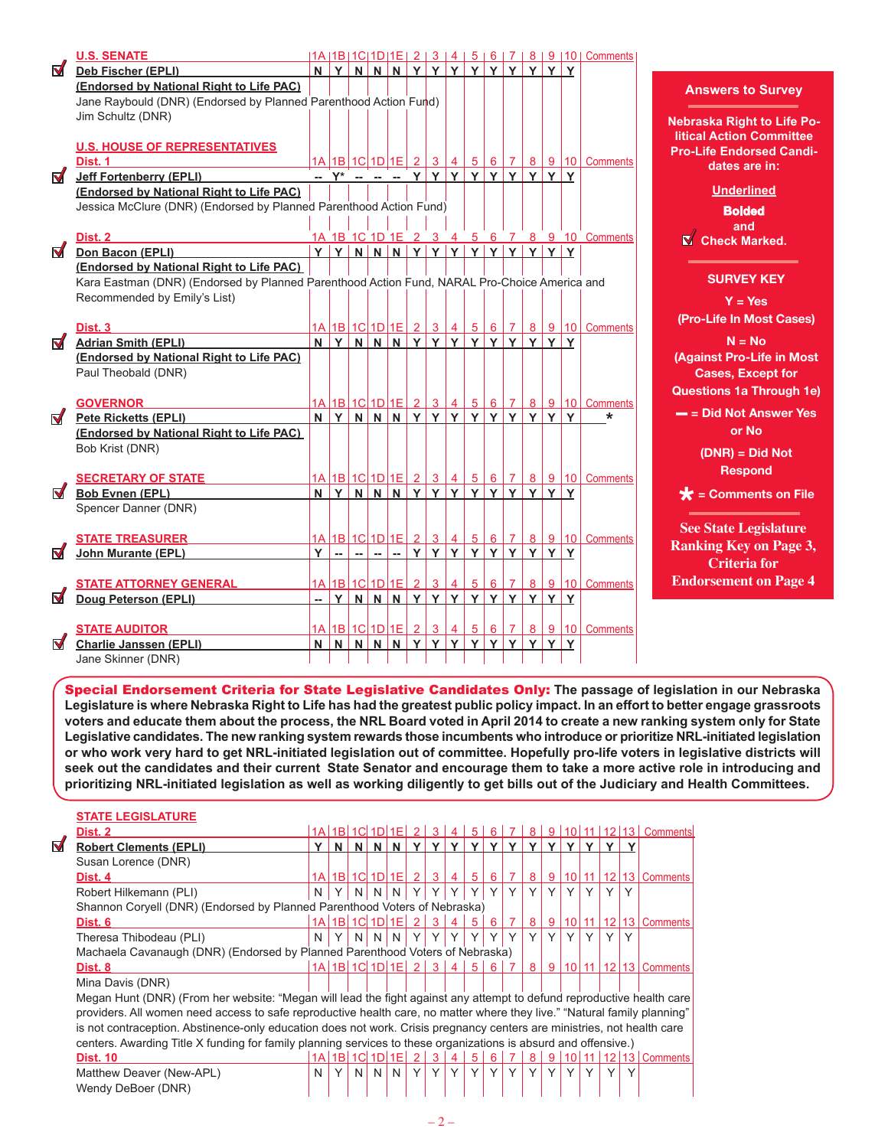| N   N   Y   Y   Y   Y   Y  <br>YY<br>N<br>YN<br>Y<br>Deb Fischer (EPLI)<br>Y<br>(Endorsed by National Right to Life PAC)<br>Jane Raybould (DNR) (Endorsed by Planned Parenthood Action Fund)<br>Jim Schultz (DNR)<br><b>U.S. HOUSE OF REPRESENTATIVES</b><br><u>1A   1B   1C   1D   1E   2   3   4  </u><br>$5 6 7 8 9 10 $ Comments<br>Dist. 1<br><u>-- Y* -- -- -- Y Y</u> Y<br>Y Y <br>YY<br>Y Y<br><b>Jeff Fortenberry (EPLI)</b><br>(Endorsed by National Right to Life PAC)<br>Jessica McClure (DNR) (Endorsed by Planned Parenthood Action Fund)<br>1A 1B 1C 1D 1E 2 3 4 5 6 7 8 9 10 Comments<br>Dist. 2<br>Y Y N N N Y Y Y Y Y Y<br><u>Y Y Y Y</u><br>Don Bacon (EPLI)<br>(Endorsed by National Right to Life PAC)<br>Kara Eastman (DNR) (Endorsed by Planned Parenthood Action Fund, NARAL Pro-Choice America and<br>Recommended by Emily's List)<br>1A 1B 1C 1D 1E 2 3 4<br>5 6 7 8 9 10 Comments<br>Dist. 3<br>Y<br>YY<br>YNNN<br>YY<br>Y<br>Y<br><b>Adrian Smith (EPLI)</b><br>N<br>Y<br>Y<br>(Endorsed by National Right to Life PAC)<br>Paul Theobald (DNR)<br>1A 1B 1C 1D 1E 2345678<br><b>GOVERNOR</b><br>N Y N N N Y Y Y Y Y Y<br>YYYY<br><b>Pete Ricketts (EPLI)</b><br>*<br>(Endorsed by National Right to Life PAC)<br>Bob Krist (DNR)<br>1A 1B 1C 1D 1E 2 3 4<br>$5 \ 6 \ 7 \ 8 \ 9 \ 10$ Comments<br><b>SECRETARY OF STATE</b><br>$N$ $Y$ $N$ $N$ $N$ $Y$ $Y$<br>YY<br>YY<br>Y<br><b>Bob Evnen (EPL)</b><br>ΙY.<br>Spencer Danner (DNR)<br><u>1A 1B 1C 1D 1E 2 3 4</u><br><u>5 6 7 8 9 10 Comments</u><br><b>STATE TREASURER</b><br>YYY<br>Y Y <br>Y<br>Y<br>YY<br><b>John Murante (EPL)</b><br>$\sim$<br>$\sim$<br>-- 1<br>-- 1<br>Y<br><u>1A 1B 1C 1D 1E 2</u><br>$3 \mid 4$<br>$5 \ 6 \ 7 \ 8 \ 9 \ 10$ Comments<br><b>STATE ATTORNEY GENERAL</b><br>Y N N N Y Y Y<br>l<br>YY<br>YY<br>YY<br>Doug Peterson (EPLI)<br>1A   1B   1C   1D   1E   2   3<br>6 7 <br>$8   9   10  $ Comments |                      | <b>U.S. SENATE</b>   |  |  |  |            |                |  |  | 1A   1B   1C   1D   1E   2   3   4   5   6   7   8   9   10   Comments |
|------------------------------------------------------------------------------------------------------------------------------------------------------------------------------------------------------------------------------------------------------------------------------------------------------------------------------------------------------------------------------------------------------------------------------------------------------------------------------------------------------------------------------------------------------------------------------------------------------------------------------------------------------------------------------------------------------------------------------------------------------------------------------------------------------------------------------------------------------------------------------------------------------------------------------------------------------------------------------------------------------------------------------------------------------------------------------------------------------------------------------------------------------------------------------------------------------------------------------------------------------------------------------------------------------------------------------------------------------------------------------------------------------------------------------------------------------------------------------------------------------------------------------------------------------------------------------------------------------------------------------------------------------------------------------------------------------------------------------------------------------------------------------------------------------------------------------------------------------------------------------------------------------------------|----------------------|----------------------|--|--|--|------------|----------------|--|--|------------------------------------------------------------------------|
|                                                                                                                                                                                                                                                                                                                                                                                                                                                                                                                                                                                                                                                                                                                                                                                                                                                                                                                                                                                                                                                                                                                                                                                                                                                                                                                                                                                                                                                                                                                                                                                                                                                                                                                                                                                                                                                                                                                  | $\blacktriangledown$ |                      |  |  |  |            |                |  |  |                                                                        |
|                                                                                                                                                                                                                                                                                                                                                                                                                                                                                                                                                                                                                                                                                                                                                                                                                                                                                                                                                                                                                                                                                                                                                                                                                                                                                                                                                                                                                                                                                                                                                                                                                                                                                                                                                                                                                                                                                                                  |                      |                      |  |  |  |            |                |  |  |                                                                        |
|                                                                                                                                                                                                                                                                                                                                                                                                                                                                                                                                                                                                                                                                                                                                                                                                                                                                                                                                                                                                                                                                                                                                                                                                                                                                                                                                                                                                                                                                                                                                                                                                                                                                                                                                                                                                                                                                                                                  |                      |                      |  |  |  |            |                |  |  |                                                                        |
|                                                                                                                                                                                                                                                                                                                                                                                                                                                                                                                                                                                                                                                                                                                                                                                                                                                                                                                                                                                                                                                                                                                                                                                                                                                                                                                                                                                                                                                                                                                                                                                                                                                                                                                                                                                                                                                                                                                  |                      |                      |  |  |  |            |                |  |  |                                                                        |
|                                                                                                                                                                                                                                                                                                                                                                                                                                                                                                                                                                                                                                                                                                                                                                                                                                                                                                                                                                                                                                                                                                                                                                                                                                                                                                                                                                                                                                                                                                                                                                                                                                                                                                                                                                                                                                                                                                                  |                      |                      |  |  |  |            |                |  |  |                                                                        |
|                                                                                                                                                                                                                                                                                                                                                                                                                                                                                                                                                                                                                                                                                                                                                                                                                                                                                                                                                                                                                                                                                                                                                                                                                                                                                                                                                                                                                                                                                                                                                                                                                                                                                                                                                                                                                                                                                                                  |                      |                      |  |  |  |            |                |  |  |                                                                        |
|                                                                                                                                                                                                                                                                                                                                                                                                                                                                                                                                                                                                                                                                                                                                                                                                                                                                                                                                                                                                                                                                                                                                                                                                                                                                                                                                                                                                                                                                                                                                                                                                                                                                                                                                                                                                                                                                                                                  |                      |                      |  |  |  |            |                |  |  |                                                                        |
|                                                                                                                                                                                                                                                                                                                                                                                                                                                                                                                                                                                                                                                                                                                                                                                                                                                                                                                                                                                                                                                                                                                                                                                                                                                                                                                                                                                                                                                                                                                                                                                                                                                                                                                                                                                                                                                                                                                  | $\blacktriangledown$ |                      |  |  |  |            |                |  |  |                                                                        |
| $\blacktriangledown$<br>M<br>$\blacksquare$<br>$\blacksquare$<br>M<br>M                                                                                                                                                                                                                                                                                                                                                                                                                                                                                                                                                                                                                                                                                                                                                                                                                                                                                                                                                                                                                                                                                                                                                                                                                                                                                                                                                                                                                                                                                                                                                                                                                                                                                                                                                                                                                                          |                      |                      |  |  |  |            |                |  |  |                                                                        |
|                                                                                                                                                                                                                                                                                                                                                                                                                                                                                                                                                                                                                                                                                                                                                                                                                                                                                                                                                                                                                                                                                                                                                                                                                                                                                                                                                                                                                                                                                                                                                                                                                                                                                                                                                                                                                                                                                                                  |                      |                      |  |  |  |            |                |  |  |                                                                        |
|                                                                                                                                                                                                                                                                                                                                                                                                                                                                                                                                                                                                                                                                                                                                                                                                                                                                                                                                                                                                                                                                                                                                                                                                                                                                                                                                                                                                                                                                                                                                                                                                                                                                                                                                                                                                                                                                                                                  |                      |                      |  |  |  |            |                |  |  |                                                                        |
|                                                                                                                                                                                                                                                                                                                                                                                                                                                                                                                                                                                                                                                                                                                                                                                                                                                                                                                                                                                                                                                                                                                                                                                                                                                                                                                                                                                                                                                                                                                                                                                                                                                                                                                                                                                                                                                                                                                  |                      |                      |  |  |  |            |                |  |  |                                                                        |
|                                                                                                                                                                                                                                                                                                                                                                                                                                                                                                                                                                                                                                                                                                                                                                                                                                                                                                                                                                                                                                                                                                                                                                                                                                                                                                                                                                                                                                                                                                                                                                                                                                                                                                                                                                                                                                                                                                                  |                      |                      |  |  |  |            |                |  |  |                                                                        |
|                                                                                                                                                                                                                                                                                                                                                                                                                                                                                                                                                                                                                                                                                                                                                                                                                                                                                                                                                                                                                                                                                                                                                                                                                                                                                                                                                                                                                                                                                                                                                                                                                                                                                                                                                                                                                                                                                                                  |                      |                      |  |  |  |            |                |  |  |                                                                        |
|                                                                                                                                                                                                                                                                                                                                                                                                                                                                                                                                                                                                                                                                                                                                                                                                                                                                                                                                                                                                                                                                                                                                                                                                                                                                                                                                                                                                                                                                                                                                                                                                                                                                                                                                                                                                                                                                                                                  |                      |                      |  |  |  |            |                |  |  |                                                                        |
|                                                                                                                                                                                                                                                                                                                                                                                                                                                                                                                                                                                                                                                                                                                                                                                                                                                                                                                                                                                                                                                                                                                                                                                                                                                                                                                                                                                                                                                                                                                                                                                                                                                                                                                                                                                                                                                                                                                  |                      |                      |  |  |  |            |                |  |  |                                                                        |
|                                                                                                                                                                                                                                                                                                                                                                                                                                                                                                                                                                                                                                                                                                                                                                                                                                                                                                                                                                                                                                                                                                                                                                                                                                                                                                                                                                                                                                                                                                                                                                                                                                                                                                                                                                                                                                                                                                                  |                      |                      |  |  |  |            |                |  |  |                                                                        |
|                                                                                                                                                                                                                                                                                                                                                                                                                                                                                                                                                                                                                                                                                                                                                                                                                                                                                                                                                                                                                                                                                                                                                                                                                                                                                                                                                                                                                                                                                                                                                                                                                                                                                                                                                                                                                                                                                                                  |                      |                      |  |  |  |            |                |  |  |                                                                        |
|                                                                                                                                                                                                                                                                                                                                                                                                                                                                                                                                                                                                                                                                                                                                                                                                                                                                                                                                                                                                                                                                                                                                                                                                                                                                                                                                                                                                                                                                                                                                                                                                                                                                                                                                                                                                                                                                                                                  |                      |                      |  |  |  |            |                |  |  |                                                                        |
|                                                                                                                                                                                                                                                                                                                                                                                                                                                                                                                                                                                                                                                                                                                                                                                                                                                                                                                                                                                                                                                                                                                                                                                                                                                                                                                                                                                                                                                                                                                                                                                                                                                                                                                                                                                                                                                                                                                  |                      |                      |  |  |  |            |                |  |  |                                                                        |
|                                                                                                                                                                                                                                                                                                                                                                                                                                                                                                                                                                                                                                                                                                                                                                                                                                                                                                                                                                                                                                                                                                                                                                                                                                                                                                                                                                                                                                                                                                                                                                                                                                                                                                                                                                                                                                                                                                                  |                      |                      |  |  |  |            |                |  |  |                                                                        |
|                                                                                                                                                                                                                                                                                                                                                                                                                                                                                                                                                                                                                                                                                                                                                                                                                                                                                                                                                                                                                                                                                                                                                                                                                                                                                                                                                                                                                                                                                                                                                                                                                                                                                                                                                                                                                                                                                                                  |                      |                      |  |  |  |            |                |  |  |                                                                        |
|                                                                                                                                                                                                                                                                                                                                                                                                                                                                                                                                                                                                                                                                                                                                                                                                                                                                                                                                                                                                                                                                                                                                                                                                                                                                                                                                                                                                                                                                                                                                                                                                                                                                                                                                                                                                                                                                                                                  |                      |                      |  |  |  |            |                |  |  |                                                                        |
|                                                                                                                                                                                                                                                                                                                                                                                                                                                                                                                                                                                                                                                                                                                                                                                                                                                                                                                                                                                                                                                                                                                                                                                                                                                                                                                                                                                                                                                                                                                                                                                                                                                                                                                                                                                                                                                                                                                  |                      |                      |  |  |  |            |                |  |  |                                                                        |
|                                                                                                                                                                                                                                                                                                                                                                                                                                                                                                                                                                                                                                                                                                                                                                                                                                                                                                                                                                                                                                                                                                                                                                                                                                                                                                                                                                                                                                                                                                                                                                                                                                                                                                                                                                                                                                                                                                                  |                      |                      |  |  |  |            |                |  |  |                                                                        |
|                                                                                                                                                                                                                                                                                                                                                                                                                                                                                                                                                                                                                                                                                                                                                                                                                                                                                                                                                                                                                                                                                                                                                                                                                                                                                                                                                                                                                                                                                                                                                                                                                                                                                                                                                                                                                                                                                                                  |                      |                      |  |  |  |            |                |  |  |                                                                        |
|                                                                                                                                                                                                                                                                                                                                                                                                                                                                                                                                                                                                                                                                                                                                                                                                                                                                                                                                                                                                                                                                                                                                                                                                                                                                                                                                                                                                                                                                                                                                                                                                                                                                                                                                                                                                                                                                                                                  |                      |                      |  |  |  |            |                |  |  |                                                                        |
|                                                                                                                                                                                                                                                                                                                                                                                                                                                                                                                                                                                                                                                                                                                                                                                                                                                                                                                                                                                                                                                                                                                                                                                                                                                                                                                                                                                                                                                                                                                                                                                                                                                                                                                                                                                                                                                                                                                  |                      |                      |  |  |  |            |                |  |  |                                                                        |
|                                                                                                                                                                                                                                                                                                                                                                                                                                                                                                                                                                                                                                                                                                                                                                                                                                                                                                                                                                                                                                                                                                                                                                                                                                                                                                                                                                                                                                                                                                                                                                                                                                                                                                                                                                                                                                                                                                                  |                      |                      |  |  |  |            |                |  |  |                                                                        |
|                                                                                                                                                                                                                                                                                                                                                                                                                                                                                                                                                                                                                                                                                                                                                                                                                                                                                                                                                                                                                                                                                                                                                                                                                                                                                                                                                                                                                                                                                                                                                                                                                                                                                                                                                                                                                                                                                                                  |                      |                      |  |  |  |            |                |  |  |                                                                        |
|                                                                                                                                                                                                                                                                                                                                                                                                                                                                                                                                                                                                                                                                                                                                                                                                                                                                                                                                                                                                                                                                                                                                                                                                                                                                                                                                                                                                                                                                                                                                                                                                                                                                                                                                                                                                                                                                                                                  |                      |                      |  |  |  |            |                |  |  |                                                                        |
|                                                                                                                                                                                                                                                                                                                                                                                                                                                                                                                                                                                                                                                                                                                                                                                                                                                                                                                                                                                                                                                                                                                                                                                                                                                                                                                                                                                                                                                                                                                                                                                                                                                                                                                                                                                                                                                                                                                  |                      |                      |  |  |  |            |                |  |  |                                                                        |
|                                                                                                                                                                                                                                                                                                                                                                                                                                                                                                                                                                                                                                                                                                                                                                                                                                                                                                                                                                                                                                                                                                                                                                                                                                                                                                                                                                                                                                                                                                                                                                                                                                                                                                                                                                                                                                                                                                                  |                      |                      |  |  |  |            |                |  |  |                                                                        |
|                                                                                                                                                                                                                                                                                                                                                                                                                                                                                                                                                                                                                                                                                                                                                                                                                                                                                                                                                                                                                                                                                                                                                                                                                                                                                                                                                                                                                                                                                                                                                                                                                                                                                                                                                                                                                                                                                                                  |                      |                      |  |  |  |            |                |  |  |                                                                        |
|                                                                                                                                                                                                                                                                                                                                                                                                                                                                                                                                                                                                                                                                                                                                                                                                                                                                                                                                                                                                                                                                                                                                                                                                                                                                                                                                                                                                                                                                                                                                                                                                                                                                                                                                                                                                                                                                                                                  |                      |                      |  |  |  |            |                |  |  |                                                                        |
|                                                                                                                                                                                                                                                                                                                                                                                                                                                                                                                                                                                                                                                                                                                                                                                                                                                                                                                                                                                                                                                                                                                                                                                                                                                                                                                                                                                                                                                                                                                                                                                                                                                                                                                                                                                                                                                                                                                  |                      |                      |  |  |  |            |                |  |  |                                                                        |
|                                                                                                                                                                                                                                                                                                                                                                                                                                                                                                                                                                                                                                                                                                                                                                                                                                                                                                                                                                                                                                                                                                                                                                                                                                                                                                                                                                                                                                                                                                                                                                                                                                                                                                                                                                                                                                                                                                                  |                      | <b>STATE AUDITOR</b> |  |  |  | $\sqrt{4}$ | 5 <sup>2</sup> |  |  |                                                                        |
| Y<br>Y<br>M<br><b>Charlie Janssen (EPLI)</b><br>N<br>N N N N Y Y<br>Y<br>Y<br>Y<br>Y<br>Y                                                                                                                                                                                                                                                                                                                                                                                                                                                                                                                                                                                                                                                                                                                                                                                                                                                                                                                                                                                                                                                                                                                                                                                                                                                                                                                                                                                                                                                                                                                                                                                                                                                                                                                                                                                                                        |                      |                      |  |  |  |            |                |  |  |                                                                        |
| Jane Skinner (DNR)                                                                                                                                                                                                                                                                                                                                                                                                                                                                                                                                                                                                                                                                                                                                                                                                                                                                                                                                                                                                                                                                                                                                                                                                                                                                                                                                                                                                                                                                                                                                                                                                                                                                                                                                                                                                                                                                                               |                      |                      |  |  |  |            |                |  |  |                                                                        |

#### **Answers to Survey**

**Nebraska Right to Life Political Action Committee Pro-Life Endorsed Candidates are in:**

# **Underlined**

**Bolded** 

**and Check Marked.** 

## **SURVEY KEY**

**Y = Yes (Pro-Life In Most Cases)** 

**N = No (Against Pro-Life in Most Cases, Except for Questions 1a Through 1e)** 

**– = Did Not Answer Yes or No** 

> **(DNR) = Did Not Respond**

**\* = Comments on File**

**See State Legislature Ranking Key on Page 3, Criteria for Endorsement on Page 4**

Special Endorsement Criteria for State Legislative Candidates Only: **The passage of legislation in our Nebraska Legislature is where Nebraska Right to Life has had the greatest public policy impact. In an effort to better engage grassroots voters and educate them about the process, the NRL Board voted in April 2014 to create a new ranking system only for State Legislative candidates. The new ranking system rewards those incumbents who introduce or prioritize NRL-initiated legislation or who work very hard to get NRL-initiated legislation out of committee. Hopefully pro-life voters in legislative districts will seek out the candidates and their current State Senator and encourage them to take a more active role in introducing and prioritizing NRL-initiated legislation as well as working diligently to get bills out of the Judiciary and Health Committees.**

|                | <b>STATE LEGISLATURE</b>                                                                                                 |   |   |                |              |                      |                |                |                |              |                |                |   |                |  |              |              |                              |
|----------------|--------------------------------------------------------------------------------------------------------------------------|---|---|----------------|--------------|----------------------|----------------|----------------|----------------|--------------|----------------|----------------|---|----------------|--|--------------|--------------|------------------------------|
|                | Dist. 2                                                                                                                  |   |   |                |              | 1A 1B 1C 1D 1E 2     |                | 3 <sup>1</sup> | $(4^{+}$       | $5^{\circ}$  | 6              |                | 8 | 9 <sup>1</sup> |  |              |              | 10 11 12 13 Comments         |
| $\blacksquare$ | <b>Robert Clements (EPLI)</b>                                                                                            |   | N | N              | N            | N                    | v              |                |                |              |                |                | v |                |  |              |              |                              |
|                | Susan Lorence (DNR)                                                                                                      |   |   |                |              |                      |                |                |                |              |                |                |   |                |  |              |              |                              |
|                | Dist. 4                                                                                                                  |   |   |                |              | 1A 1B 1C 1D 1E       | 2 <sup>1</sup> | 3              | $\overline{4}$ | 5            | 6              |                | 8 | 9 <sup>1</sup> |  |              |              | 10 11 12 13 Comments         |
|                | Robert Hilkemann (PLI)                                                                                                   | N |   | N <sub>1</sub> | <sup>N</sup> |                      |                |                |                |              |                |                |   |                |  |              | $\checkmark$ |                              |
|                | Shannon Coryell (DNR) (Endorsed by Planned Parenthood Voters of Nebraska)                                                |   |   |                |              |                      |                |                |                |              |                |                |   |                |  |              |              |                              |
|                | Dist. 6                                                                                                                  |   |   |                |              | 1A 1B 1C 1D 1E 2     |                | 3 <sup>1</sup> | $\overline{4}$ | 5            | 6 <sup>1</sup> | $\overline{7}$ | 8 | 9 <sup>1</sup> |  |              |              | 10 11 12 13 Comments         |
|                | Theresa Thibodeau (PLI)                                                                                                  | N |   | N              | N.           | N                    |                |                | $\checkmark$   |              | $\checkmark$   |                |   |                |  |              |              |                              |
|                | Machaela Cavanaugh (DNR) (Endorsed by Planned Parenthood Voters of Nebraska)                                             |   |   |                |              |                      |                |                |                |              |                |                |   |                |  |              |              |                              |
|                | Dist. 8                                                                                                                  |   |   |                |              | $1A$ 1B 1C 1D 1E 2 3 |                |                | $\vert$ 4      | -5           | 6              | $\overline{7}$ | 8 | 9 <sup>1</sup> |  |              |              | 10   11   12   13   Comments |
|                | Mina Davis (DNR)                                                                                                         |   |   |                |              |                      |                |                |                |              |                |                |   |                |  |              |              |                              |
|                | Megan Hunt (DNR) (From her website: "Megan will lead the fight against any attempt to defund reproductive health care    |   |   |                |              |                      |                |                |                |              |                |                |   |                |  |              |              |                              |
|                | providers. All women need access to safe reproductive health care, no matter where they live." "Natural family planning" |   |   |                |              |                      |                |                |                |              |                |                |   |                |  |              |              |                              |
|                | is not contraception. Abstinence-only education does not work. Crisis pregnancy centers are ministries, not health care  |   |   |                |              |                      |                |                |                |              |                |                |   |                |  |              |              |                              |
|                | centers. Awarding Title X funding for family planning services to these organizations is absurd and offensive.)          |   |   |                |              |                      |                |                |                |              |                |                |   |                |  |              |              |                              |
|                | <b>Dist. 10</b>                                                                                                          |   |   |                |              | $1A$ 1B $1C$ 1D $1E$ | (2)            | 3              | $\overline{4}$ | 5            | 6              |                | 8 | 9              |  |              |              | 10 11 12 13 Comments         |
|                | Matthew Deaver (New-APL)                                                                                                 | N | Y | N              | N            | N                    | Y              | Y              | Y              | $\checkmark$ | Y              | Y              | Υ |                |  | $\checkmark$ |              |                              |
|                | Wendy DeBoer (DNR)                                                                                                       |   |   |                |              |                      |                |                |                |              |                |                |   |                |  |              |              |                              |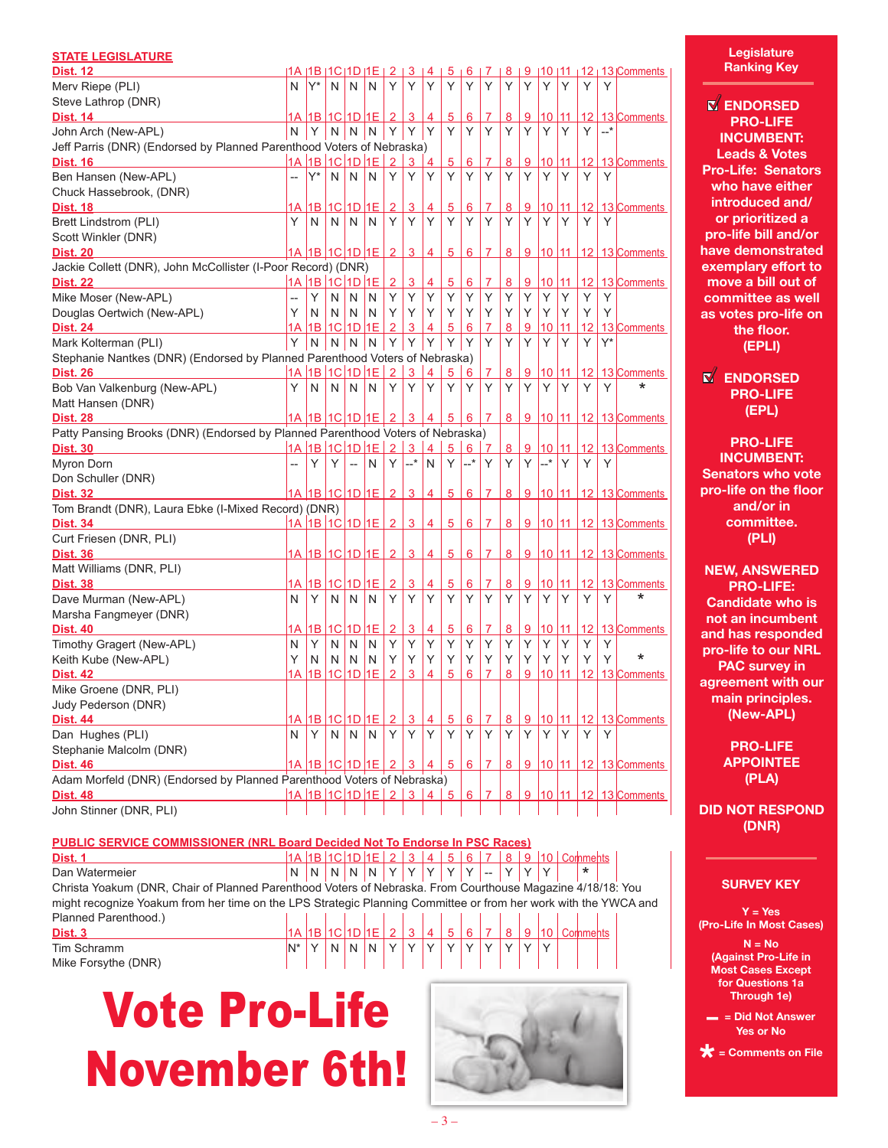| <b>STATE LEGISLATURE</b>                                                       |    |                                 |    |                          |              |                      |                |                |                 |                 |                |   |          |                       |    |                 |       |                        |
|--------------------------------------------------------------------------------|----|---------------------------------|----|--------------------------|--------------|----------------------|----------------|----------------|-----------------|-----------------|----------------|---|----------|-----------------------|----|-----------------|-------|------------------------|
| <b>Dist. 12</b>                                                                | 1Α | $11B$ $11C$ $11D$ $11E$ $1$     |    |                          |              | 2                    | 3              | 4              | 5               | 6               |                | 8 | 9        | 110                   | 11 |                 |       | $12 \mid 13$ Comments  |
| Merv Riepe (PLI)                                                               | N  | Y*                              | N  | N                        | N            | Υ                    | Υ              | Υ              | Y               | Υ               | Υ              | Υ | Y        | Υ                     | Υ  | Υ               | Y     |                        |
| Steve Lathrop (DNR)                                                            |    |                                 |    |                          |              |                      |                |                |                 |                 |                |   |          |                       |    |                 |       |                        |
| <b>Dist. 14</b>                                                                |    | 1A  1B  1C  1D  1E              |    |                          |              | $\overline{2}$       | 3              | 4              | 5               | $6\phantom{1}6$ | 7              | 8 | 9        | 10                    | 11 | 12              |       | 13 Comments            |
| John Arch (New-APL)                                                            | N  | Y                               |    | $N \mid N$               | N            | Y                    | Y              | Y              | Υ               | Y               | Y              | Y | Y        | Υ                     | Υ  | Y               | $-+$  |                        |
| Jeff Parris (DNR) (Endorsed by Planned Parenthood Voters of Nebraska)          |    |                                 |    |                          |              |                      |                |                |                 |                 |                |   |          |                       |    |                 |       |                        |
| <b>Dist. 16</b>                                                                |    | 1A 1B 1C 1D 1E                  |    |                          |              | 2                    | 3              | 4              | 5               | 6               | 7              | 8 | 9        | 10                    | 11 | 12              |       | 13 Comments            |
| Ben Hansen (New-APL)                                                           |    | Y*                              | N  | N                        | N            | Υ                    | Υ              | Υ              | Y               | Y               | Y              | Υ | Y        | Υ                     | Υ  | Y               | Υ     |                        |
| Chuck Hassebrook, (DNR)                                                        |    |                                 |    |                          |              |                      |                |                |                 |                 |                |   |          |                       |    |                 |       |                        |
| <u>Dist. 18</u>                                                                | 1A | 1B                              |    | $1C$ $1D$ $1E$           |              | $\overline{2}$       | $\overline{3}$ | 4              | $\overline{5}$  | 6               | 7              | 8 | <u>9</u> | 10                    | 11 | 12 <sup>2</sup> |       | 13 Comments            |
| Brett Lindstrom (PLI)                                                          | Y  | N                               | N  | N                        | N            | Υ                    | Υ              | Y              | Υ               | Y               | Y              | Υ | Y        | Υ                     | Υ  | Y               | Υ     |                        |
| Scott Winkler (DNR)                                                            |    |                                 |    |                          |              |                      |                |                |                 |                 |                |   |          |                       |    |                 |       |                        |
| <b>Dist. 20</b>                                                                |    | <u>1A  1B  1C  1D  1E</u>       |    |                          |              | $\overline{2}$       | 3              | 4              | 5               | 6               | 7              | 8 |          | $9 \vert 10 \vert 11$ |    |                 |       | 12 13 Comments         |
| Jackie Collett (DNR), John McCollister (I-Poor Record) (DNR)                   |    |                                 |    |                          |              |                      |                |                |                 |                 |                |   |          |                       |    |                 |       |                        |
| <b>Dist. 22</b>                                                                |    | 1A 1B 1C 1D 1E                  |    |                          |              | $\overline{2}$       | 3              | 4              | 5 <sup>5</sup>  | $6\phantom{1}6$ | $\overline{7}$ | 8 | 9        | 110                   | 11 | 12              |       | 13 Comments            |
| Mike Moser (New-APL)                                                           |    | Y                               | N  | N                        | N            | Υ                    | Y              | Y              | Υ               | Y               | Y              | Υ | Υ        | Υ                     | Y  | Υ               | Υ     |                        |
| Douglas Oertwich (New-APL)                                                     | Y  | N                               | N  | N                        | N.           | Y                    | Y              | Υ              | Y               | Y               | Υ              | Y | Υ        | Υ                     | Y  | Υ               | Υ     |                        |
| <b>Dist. 24</b>                                                                | 1Α | 18 I                            |    | $1C$ $1D$ $1E$           |              | $\overline{2}$       | 3              | 4              | 5               | 6               | 7              | 8 | 9        | 10                    | 11 | 12              |       | 13 Comments            |
| Mark Kolterman (PLI)                                                           | Υ  | N                               | N  | N.                       | N            | Y                    | Y              | Y              | Y               | Y               | Y              | Υ | Y        | Υ                     | Υ  | Y               | $Y^*$ |                        |
| Stephanie Nantkes (DNR) (Endorsed by Planned Parenthood Voters of Nebraska)    |    |                                 |    |                          |              |                      |                |                |                 |                 |                |   |          |                       |    |                 |       |                        |
| Dist. 26                                                                       | 1A | 1B 1C 1D 1E                     |    |                          |              | $\overline{2}$       | 3              | 4              | 5               | 6               | 7              | 8 | 9        | 10                    | 11 | 12              |       | 13 Comments            |
| Bob Van Valkenburg (New-APL)                                                   | Y  | N                               | N  | N                        | N            | Υ                    | Υ              | Υ              | Υ               | Υ               | Y              | Y | Υ        | Υ                     | Υ  | Y               | Υ     | *                      |
| Matt Hansen (DNR)                                                              |    |                                 |    |                          |              |                      |                |                |                 |                 |                |   |          |                       |    |                 |       |                        |
| <b>Dist. 28</b>                                                                |    | <u>1A 1B 1C 1D 1E 2 3</u>       |    |                          |              |                      |                | 4              | $5^{\circ}$     | $6 \mid$        | $\overline{7}$ | 8 |          | $9 \mid 10 \mid 11$   |    |                 |       | $12$ 13 Comments       |
| Patty Pansing Brooks (DNR) (Endorsed by Planned Parenthood Voters of Nebraska) |    |                                 |    |                          |              |                      |                |                |                 |                 |                |   |          |                       |    |                 |       |                        |
| <b>Dist. 30</b>                                                                |    | 1A 1B 1C 1D 1E                  |    |                          |              | 2 <sup>1</sup>       | 3              | 4              | 5               | 6               | 7              | 8 | 9        | 10                    | 11 | 12              |       | 13 Comments            |
| Myron Dorn                                                                     |    | Y                               | Y. | $\overline{\phantom{a}}$ | N            | Y.                   | $-$ *          | N              | Y               | $-$ *           | Y              | Y |          | $Y \sim$              | Υ  | Y               | Υ     |                        |
| Don Schuller (DNR)                                                             |    |                                 |    |                          |              |                      |                |                |                 |                 |                |   |          |                       |    |                 |       |                        |
| <b>Dist. 32</b>                                                                |    | 1A 1B 1C 1D 1E 2                |    |                          |              |                      | $\mathbf{3}$   | 4              | 5 <sup>5</sup>  | 6               | 7              | 8 |          |                       |    |                 |       | 9 10 11 12 13 Comments |
| Tom Brandt (DNR), Laura Ebke (I-Mixed Record) (DNR)                            |    |                                 |    |                          |              |                      |                |                |                 |                 |                |   |          |                       |    |                 |       |                        |
| <b>Dist. 34</b>                                                                |    | <u>1A 1B 1C 1D 1E 2 3</u>       |    |                          |              |                      |                | 4              | 5 <sub>2</sub>  | 6               | 7              | 8 |          | $9 \vert 10 \vert 11$ |    |                 |       | $12$ 13 Comments       |
| Curt Friesen (DNR, PLI)                                                        |    |                                 |    |                          |              |                      |                |                |                 |                 |                |   |          |                       |    |                 |       |                        |
| <b>Dist. 36</b>                                                                |    | <u>1A  1B  1C  1D  1E   2  </u> |    |                          |              |                      | $\mathbf{3}$   | $\overline{4}$ | 5 <sup>5</sup>  | 6               | 7              | 8 |          |                       |    |                 |       | 9 10 11 12 13 Comments |
| Matt Williams (DNR, PLI)                                                       |    |                                 |    |                          |              |                      |                |                |                 |                 |                |   |          |                       |    |                 |       |                        |
| <b>Dist. 38</b>                                                                | 1A | 18 I                            |    | $1C$ $1D$ $1E$           |              | $\overline{2}$       | 3              | 4              | 5               | 6               | 7              | 8 | 9        | 10                    | 11 | 12              |       | 13 Comments            |
| Dave Murman (New-APL)                                                          | N  | Y                               | N  | N                        | N            | Υ                    | Υ              | Υ              | Y               | Y               | Y              | Y | Y        | Υ                     | Υ  | Y               | Υ     | *                      |
| Marsha Fangmeyer (DNR)                                                         |    |                                 |    |                          |              |                      |                |                |                 |                 |                |   |          |                       |    |                 |       |                        |
| <b>Dist. 40</b>                                                                | 1А | 1B                              |    | $1C$ $1D$ $1E$           |              | $\overline{2}$       | $\overline{3}$ | 4              | $\overline{5}$  | $6\phantom{1}6$ | 7              | 8 | 9        | $ 10\rangle$          | 11 | 12              |       | 13 Comments            |
| Timothy Gragert (New-APL)                                                      | N  | Y                               | N  | N                        | N            | Υ                    | Υ              | Υ              | Υ               | Y               | Y              | Υ | Υ        | Υ                     | Y  | Y               | Υ     |                        |
| Keith Kube (New-APL)                                                           | Υ  | N                               | N  | N                        | N            | Y                    | Υ              | Y              | Υ               | Y               | Υ              | Υ | Υ        | Υ                     | Υ  | Υ               | Υ     | *                      |
| <b>Dist. 42</b>                                                                | 1Α | 1B                              |    | 1C 1D 1E                 |              | $\overline{2}$       | 3              | 4              | 5               | 6               | 7              | 8 | 9        | 10                    | 11 | 12              |       | 13 Comments            |
| Mike Groene (DNR, PLI)                                                         |    |                                 |    |                          |              |                      |                |                |                 |                 |                |   |          |                       |    |                 |       |                        |
|                                                                                |    |                                 |    |                          |              |                      |                |                |                 |                 |                |   |          |                       |    |                 |       |                        |
| Judy Pederson (DNR)                                                            |    |                                 |    |                          |              |                      |                |                |                 |                 |                |   |          |                       |    |                 |       |                        |
| Dist. 44                                                                       | 1А | 11 B                            |    | $1C$ $1D$ $1E$           |              | 2                    | 3              | 4              | $5\phantom{.0}$ | 6               | 7              | 8 | 9        | 10                    | 11 | 12              |       | 13 Comments            |
| Dan Hughes (PLI)                                                               | N  | Y                               | N  | N                        | $\mathsf{N}$ | Y                    | Y              | Υ              | Y               | Y               | Y              | Y | Y        | Y                     | Υ  | Y               | Υ     |                        |
| Stephanie Malcolm (DNR)                                                        |    |                                 |    |                          |              |                      |                |                |                 |                 |                |   |          |                       |    |                 |       |                        |
| <b>Dist. 46</b>                                                                |    | 1A 1B 1C 1D 1E                  |    |                          |              | $\mathbf{2}^{\circ}$ | 3              | 4              | 5               | 6               | 7              | 8 |          | $9 \mid 10 \mid 11$   |    |                 |       | 12 13 Comments         |
| Adam Morfeld (DNR) (Endorsed by Planned Parenthood Voters of Nebraska)         |    |                                 |    |                          |              |                      |                |                |                 |                 |                |   |          |                       |    |                 |       |                        |
| <b>Dist. 48</b>                                                                |    | <u>1A 1B 1C 1D 1E 2 3</u>       |    |                          |              |                      |                | 4              | 5               | 6               | 7              | 8 |          | 9   10   11           |    | 12              |       | 13 Comments            |
| John Stinner (DNR, PLI)                                                        |    |                                 |    |                          |              |                      |                |                |                 |                 |                |   |          |                       |    |                 |       |                        |

**PUBLIC SERVICE COMMISSIONER (NRL Board Decided Not To Endorse In PSC Races) Dist. 1 1A** 1B 1C 1D 1E 2 3 4 5 6 7 8 9 10 Comments

Dan Watermeier <sup>N</sup> <sup>N</sup> <sup>N</sup> <sup>N</sup> <sup>N</sup> <sup>Y</sup> <sup>Y</sup> <sup>Y</sup> <sup>Y</sup> <sup>Y</sup> -- <sup>Y</sup> <sup>Y</sup> <sup>Y</sup> \* Christa Yoakum (DNR, Chair of Planned Parenthood Voters of Nebraska. From Courthouse Magazine 4/18/18: You might recognize Yoakum from her time on the LPS Strategic Planning Committee or from her work with the YWCA and Planned Parenthood.) **Dist. 3** 1A 1B 1C 1D 1E 2 3 4 5 6 7 8 9 10 Comments

Tim Schramm  $N^* Y N N N Y Y Y Y Y Y Y Y Y Y Y$ Mike Forsythe (DNR)

Vote Pro-Life November 6th!



**Legislature Ranking Key**

**ENDORSED PRO-LIFE INCUMBENT: Leads & Votes Pro-Life: Senators who have either introduced and/ or prioritized a pro-life bill and/or have demonstrated exemplary effort to move a bill out of committee as well as votes pro-life on the floor. (EPLI)**

**ENDORSED PRO-LIFE (EPL)**

**PRO-LIFE INCUMBENT: Senators who vote pro-life on the floor and/or in committee. (PLI)**

**NEW, ANSWERED PRO-LIFE: Candidate who is not an incumbent and has responded pro-life to our NRL PAC survey in agreement with our main principles. (New-APL)**

> **PRO-LIFE APPOINTEE (PLA)**

**DID NOT RESPOND (DNR)**

# **SURVEY KEY**

**Y = Yes (Pro-Life In Most Cases)** 

**N = No (Against Pro-Life in Most Cases Except for Questions 1a Through 1e)** 

**– = Did Not Answer Yes or No** 

**\* = Comments on File**